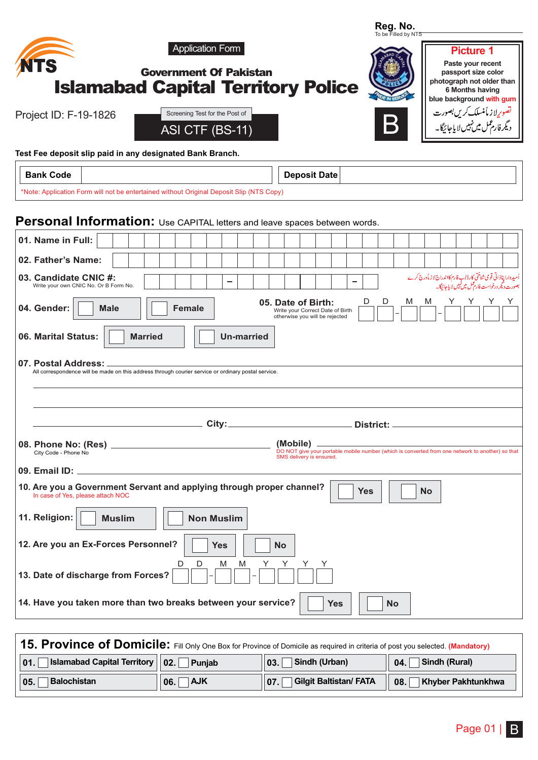| Reg. No.<br>To be Filled by NTS                                                                                                                                                                                                                   |
|---------------------------------------------------------------------------------------------------------------------------------------------------------------------------------------------------------------------------------------------------|
| <b>Application Form</b><br><b>Picture 1</b><br>Paste your recent<br><b>Government Of Pakistan</b><br>passport size color<br>photograph not older than<br><b>Islamabad Capital Territory Police</b><br>6 Months having<br>blue background with gum |
| تصوریلا زماً منسلک کریں بصورت<br>دیگرفارمعمل میں نہیں لا یاجائیگا۔<br>Screening Test for the Post of<br>Project ID: F-19-1826<br>B<br>ASI CTF (BS-11)                                                                                             |
| Test Fee deposit slip paid in any designated Bank Branch.                                                                                                                                                                                         |
| <b>Bank Code</b><br><b>Deposit Date</b>                                                                                                                                                                                                           |
| *Note: Application Form will not be entertained without Original Deposit Slip (NTS Copy)                                                                                                                                                          |
| Personal Information: Use CAPITAL letters and leave spaces between words.                                                                                                                                                                         |
| 01. Name in Full:                                                                                                                                                                                                                                 |
| 02. Father's Name:                                                                                                                                                                                                                                |
| اُمیدوارا پناذاتی قومی شناختی کارڈاپ فارم کااندراج لا زیاْدرج کرے<br>بصورت دیگر درخواست فارم عمل میں نہیں لایا جائیگا۔<br>03. Candidate CNIC #:<br>Write your own CNIC No. Or B Form No.                                                          |
| D<br>D<br>Y<br>M<br>M<br>05. Date of Birth:<br>04. Gender:<br><b>Male</b><br><b>Female</b><br>Write your Correct Date of Birth<br>otherwise you will be rejected                                                                                  |
| 06. Marital Status:<br><b>Married</b><br><b>Un-married</b>                                                                                                                                                                                        |
| 07. Postal Address:<br>All correspondence will be made on this address through courier service or ordinary postal service.                                                                                                                        |
|                                                                                                                                                                                                                                                   |
|                                                                                                                                                                                                                                                   |
| City:<br>District:                                                                                                                                                                                                                                |
| (Mobile)<br>08. Phone No: (Res) _<br>DO NOT give your portable mobile number (which is converted from one network to another) so that<br>City Code - Phone No<br>SMS delivery is ensured.                                                         |
| 09. Email ID:                                                                                                                                                                                                                                     |
| 10. Are you a Government Servant and applying through proper channel?<br><b>Yes</b><br><b>No</b><br>In case of Yes, please attach NOC                                                                                                             |
| 11. Religion:<br><b>Non Muslim</b><br><b>Muslim</b>                                                                                                                                                                                               |
| 12. Are you an Ex-Forces Personnel?<br><b>Yes</b><br><b>No</b><br>D<br>D<br>M<br>M<br>Y<br>Y<br>Y<br>13. Date of discharge from Forces?                                                                                                           |
| 14. Have you taken more than two breaks between your service?<br><b>Yes</b><br><b>No</b>                                                                                                                                                          |

| <b>15. Province of Domicile:</b> Fill Only One Box for Province of Domicile as required in criteria of post you selected. (Mandatory) |         |                                               |                          |  |  |
|---------------------------------------------------------------------------------------------------------------------------------------|---------|-----------------------------------------------|--------------------------|--|--|
| <b>Islamabad Capital Territory   02.</b> Punjab<br>$\parallel$ 03. Sindh (Urban)<br>$04.$ Sindh (Rural)<br> 01.                       |         |                                               |                          |  |  |
| Balochistan<br>$\vert$ 05.                                                                                                            | 06. AJK | $\parallel$ 07. $\Box$ Gilgit Baltistan/ FATA | 1 08. Khyber Pakhtunkhwa |  |  |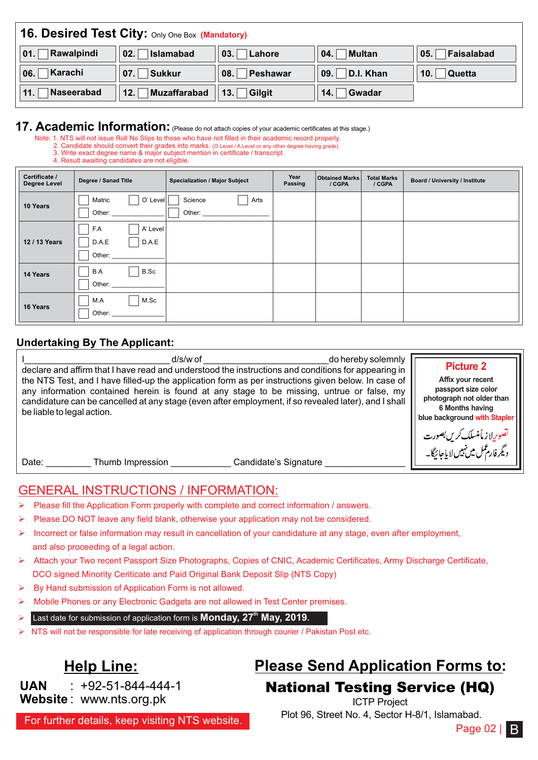|                   | 16. Desired Test City: Only One Box (Mandatory) |                                   |               |               |  |  |  |
|-------------------|-------------------------------------------------|-----------------------------------|---------------|---------------|--|--|--|
| Rawalpindi        | Islamabad                                       | $\vert$ 03.                       | <b>Multan</b> | Faisalabad    |  |  |  |
| 01.               | 02.1                                            | Lahore                            | 04.           | 05.           |  |  |  |
| ∣Karachi          | Sukkur                                          | $\overline{\phantom{a}}$ Peshawar | D.I. Khan     | <b>Quetta</b> |  |  |  |
| 06.               | 07.                                             | 08.                               | 09.           | 10.1          |  |  |  |
| Naseerabad<br>11. | Muzaffarabad<br>12.                             | $  $ 13. Gilgit                   | Gwadar<br>14. |               |  |  |  |

## **17. Academic Information:** (Please do not attach copies of your academic certificates at this stage.)

Note: 1. NTS will not issue Roll No Slips to those who have not filled in their academic record properly.

- 2. Candidate should convert their grades into marks. (O Level / A Level or any other degree having grade). 3. Write exact degree name & major subject mention in certificate / transcript.
	- 4. Result awaiting candidates are not eligible.

| Certificate /<br><b>Degree Level</b> | Degree / Sanad Title                        | <b>Specialization / Major Subject</b> | Year<br>Passing | <b>Obtained Marks</b><br>/ CGPA | <b>Total Marks</b><br>/ CGPA | <b>Board / University / Institute</b> |
|--------------------------------------|---------------------------------------------|---------------------------------------|-----------------|---------------------------------|------------------------------|---------------------------------------|
| 10 Years                             | O' Level<br>Matric<br>Other:                | Science<br>Arts<br>Other:             |                 |                                 |                              |                                       |
| 12 / 13 Years                        | F.A<br>A' Level<br>D.A.E<br>D.A.E<br>Other: |                                       |                 |                                 |                              |                                       |
| 14 Years                             | B.A<br>B.Sc<br>Other:                       |                                       |                 |                                 |                              |                                       |
| 16 Years                             | M.A<br>M.Sc<br>Other:                       |                                       |                 |                                 |                              |                                       |

#### **Undertaking By The Applicant:**

| $d/s/w$ of                                                                                           | <b>Picture 2</b>                                                 |
|------------------------------------------------------------------------------------------------------|------------------------------------------------------------------|
| do hereby solemnly                                                                                   | Affix your recent                                                |
| declare and affirm that I have read and understood the instructions and conditions for appearing in  | passport size color                                              |
| the NTS Test, and I have filled-up the application form as per instructions given below. In case of  | photograph not older than                                        |
| any information contained herein is found at any stage to be missing, untrue or false, my            | 6 Months having                                                  |
| candidature can be cancelled at any stage (even after employment, if so revealed later), and I shall | blue background with Stapler                                     |
| be liable to legal action.                                                                           | تصوریااز مأمنسلک کریں بصورت<br>دیگرفار عمل میں نہیں لا یاجائیگا۔ |
| Candidate's Signature<br>Thumb Impression<br>Date:                                                   |                                                                  |

### GENERAL INSTRUCTIONS / INFORMATION:

- Please fill the Application Form properly with complete and correct information / answers.
- Please DO NOT leave any field blank, otherwise your application may not be considered.
- Incorrect or false information may result in cancellation of your candidature at any stage, even after employment, and also proceeding of a legal action.
- Ø Attach your Two recent Passport Size Photographs, Copies of CNIC, Academic Certificates, Army Discharge Certificate, DCO signed Minority Ceriticate and Paid Original Bank Deposit Slip (NTS Copy)
- By Hand submission of Application Form is not allowed.
- Mobile Phones or any Electronic Gadgets are not allowed in Test Center premises.
- Ø **Last date for submission of application form is Monday, 27<sup>th</sup> May, 2019.**
- Ø NTS will not be responsible for late receiving of application through courier / Pakistan Post etc.

#### **UAN Website** : www.nts.org.pk  $: +92 - 51 - 844 - 444 - 1$

# **Help Line: Please Send Application Forms to:**

National Testing Service (HQ) ICTP Project

Plot 96, Street No. 4, Sector H-8/1, Islamabad.

For further details, keep visiting NTS website.